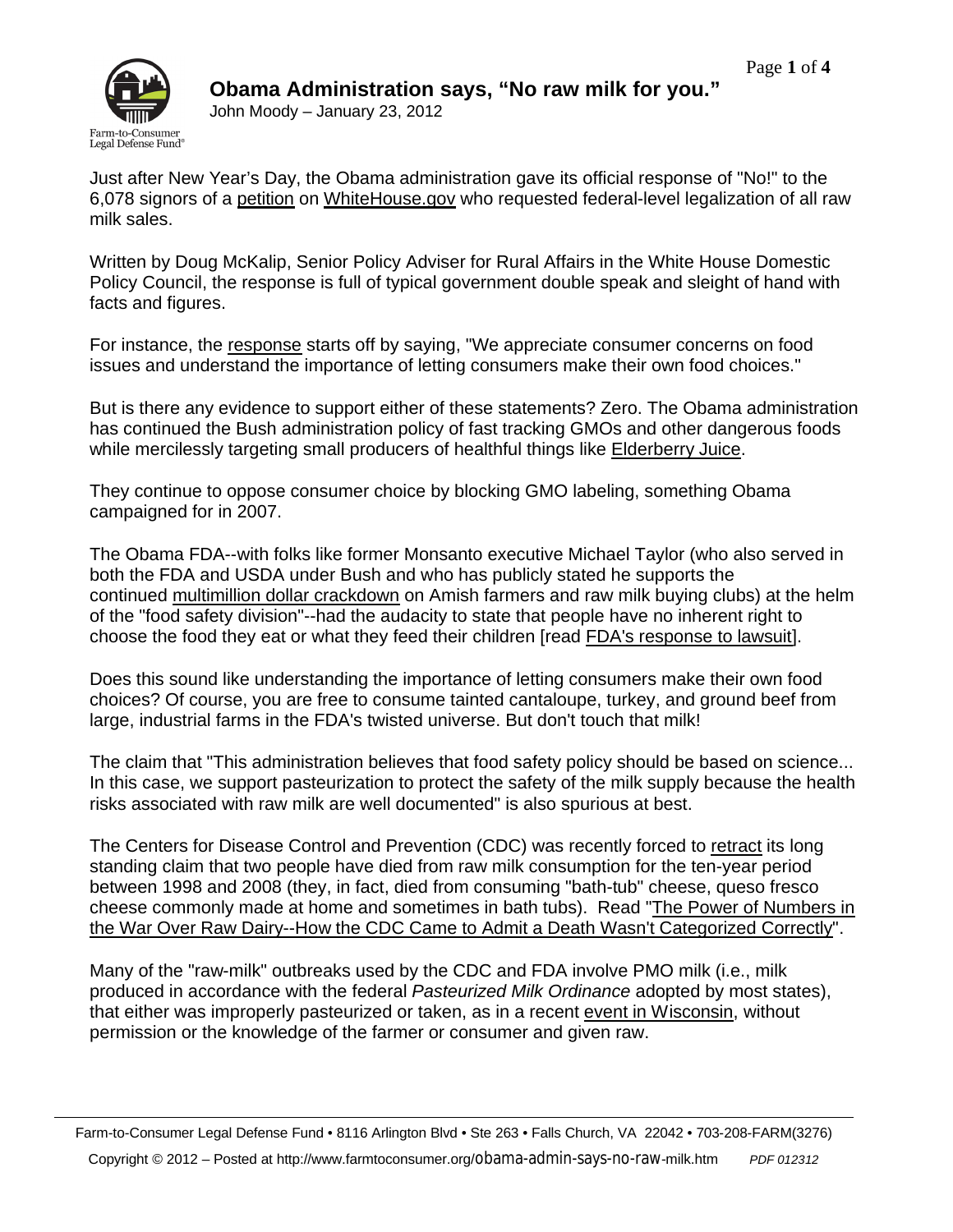

Just after New Year's Day, the Obama administration gave its official response of "No!" to the 6,078 signors of a petition on WhiteHouse.gov who requested federal-level legalization of all raw milk sales.

Written by Doug McKalip, Senior Policy Adviser for Rural Affairs in the White House Domestic Policy Council, the response is full of typical government double speak and sleight of hand with facts and figures.

For instance, the response starts off by saying, "We appreciate consumer concerns on food issues and understand the importance of letting consumers make their own food choices."

But is there any evidence to support either of these statements? Zero. The Obama administration has continued the Bush administration policy of fast tracking GMOs and other dangerous foods while mercilessly targeting small producers of healthful things like Elderberry Juice.

They continue to oppose consumer choice by blocking GMO labeling, something Obama campaigned for in 2007.

The Obama FDA--with folks like former Monsanto executive Michael Taylor (who also served in both the FDA and USDA under Bush and who has publicly stated he supports the continued multimillion dollar crackdown on Amish farmers and raw milk buying clubs) at the helm of the "food safety division"--had the audacity to state that people have no inherent right to choose the food they eat or what they feed their children [read FDA's response to lawsuit].

Does this sound like understanding the importance of letting consumers make their own food choices? Of course, you are free to consume tainted cantaloupe, turkey, and ground beef from large, industrial farms in the FDA's twisted universe. But don't touch that milk!

The claim that "This administration believes that food safety policy should be based on science... In this case, we support pasteurization to protect the safety of the milk supply because the health risks associated with raw milk are well documented" is also spurious at best.

The Centers for Disease Control and Prevention (CDC) was recently forced to retract its long standing claim that two people have died from raw milk consumption for the ten-year period between 1998 and 2008 (they, in fact, died from consuming "bath-tub" cheese, queso fresco cheese commonly made at home and sometimes in bath tubs). Read "The Power of Numbers in the War Over Raw Dairy--How the CDC Came to Admit a Death Wasn't Categorized Correctly".

Many of the "raw-milk" outbreaks used by the CDC and FDA involve PMO milk (i.e., milk produced in accordance with the federal *Pasteurized Milk Ordinance* adopted by most states), that either was improperly pasteurized or taken, as in a recent event in Wisconsin, without permission or the knowledge of the farmer or consumer and given raw.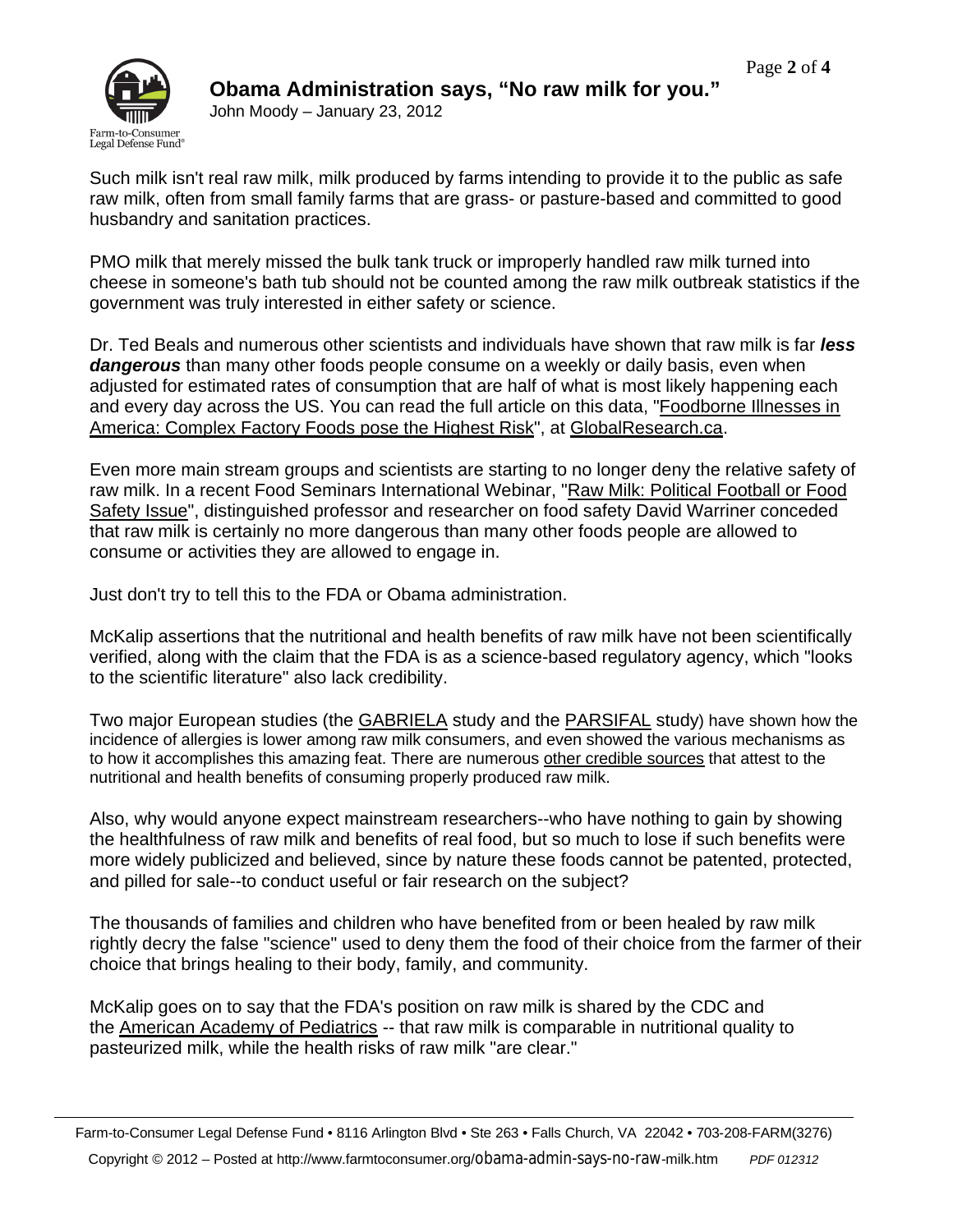

John Moody – January 23, 2012

Such milk isn't real raw milk, milk produced by farms intending to provide it to the public as safe raw milk, often from small family farms that are grass- or pasture-based and committed to good husbandry and sanitation practices.

PMO milk that merely missed the bulk tank truck or improperly handled raw milk turned into cheese in someone's bath tub should not be counted among the raw milk outbreak statistics if the government was truly interested in either safety or science.

Dr. Ted Beals and numerous other scientists and individuals have shown that raw milk is far *less dangerous* than many other foods people consume on a weekly or daily basis, even when adjusted for estimated rates of consumption that are half of what is most likely happening each and every day across the US. You can read the full article on this data, "Foodborne Illnesses in America: Complex Factory Foods pose the Highest Risk", at GlobalResearch.ca.

Even more main stream groups and scientists are starting to no longer deny the relative safety of raw milk. In a recent Food Seminars International Webinar, "Raw Milk: Political Football or Food Safety Issue", distinguished professor and researcher on food safety David Warriner conceded that raw milk is certainly no more dangerous than many other foods people are allowed to consume or activities they are allowed to engage in.

Just don't try to tell this to the FDA or Obama administration.

McKalip assertions that the nutritional and health benefits of raw milk have not been scientifically verified, along with the claim that the FDA is as a science-based regulatory agency, which "looks to the scientific literature" also lack credibility.

Two major European studies (the GABRIELA study and the PARSIFAL study) have shown how the incidence of allergies is lower among raw milk consumers, and even showed the various mechanisms as to how it accomplishes this amazing feat. There are numerous other credible sources that attest to the nutritional and health benefits of consuming properly produced raw milk.

Also, why would anyone expect mainstream researchers--who have nothing to gain by showing the healthfulness of raw milk and benefits of real food, but so much to lose if such benefits were more widely publicized and believed, since by nature these foods cannot be patented, protected, and pilled for sale--to conduct useful or fair research on the subject?

The thousands of families and children who have benefited from or been healed by raw milk rightly decry the false "science" used to deny them the food of their choice from the farmer of their choice that brings healing to their body, family, and community.

McKalip goes on to say that the FDA's position on raw milk is shared by the CDC and the American Academy of Pediatrics -- that raw milk is comparable in nutritional quality to pasteurized milk, while the health risks of raw milk "are clear."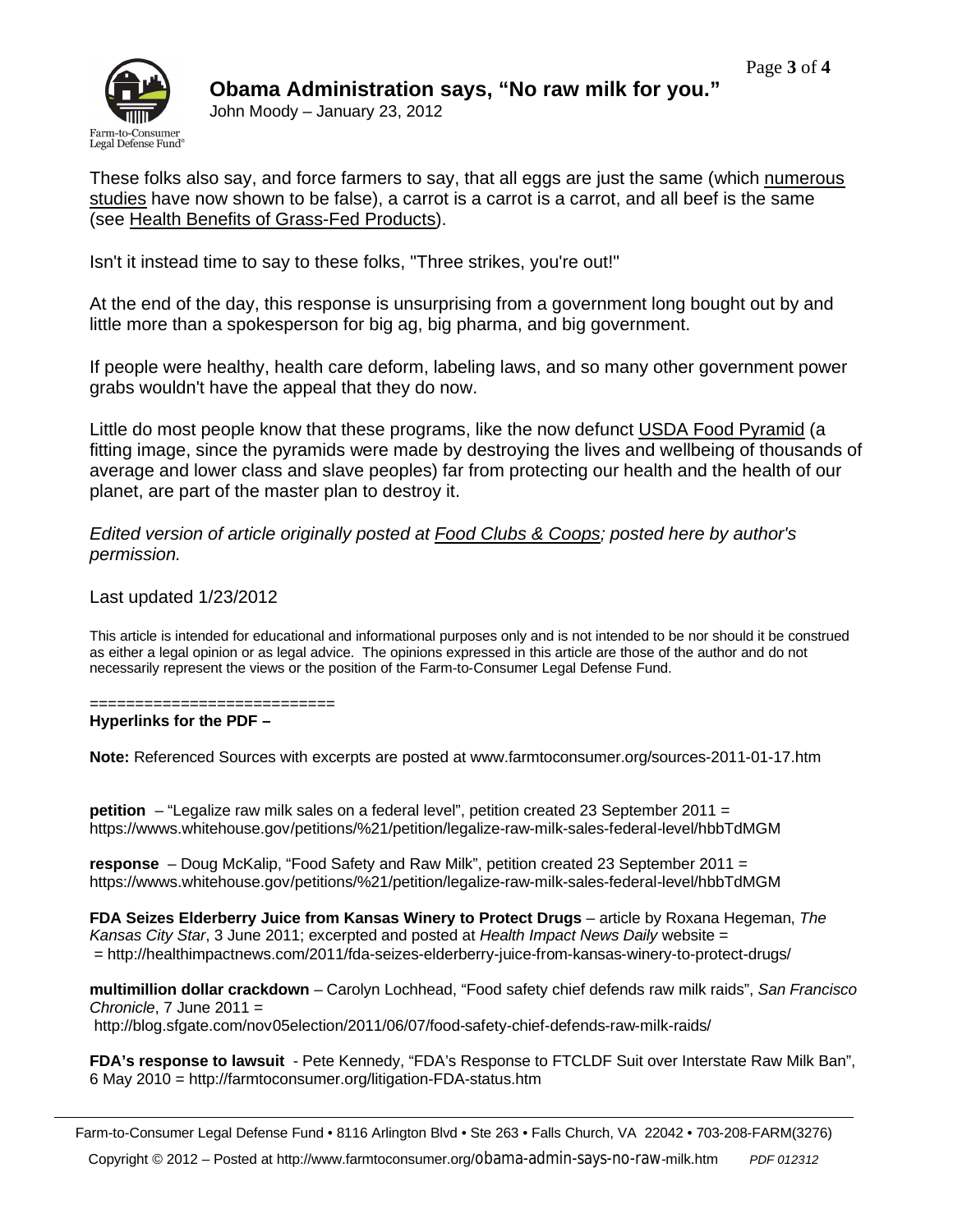

John Moody – January 23, 2012

These folks also say, and force farmers to say, that all eggs are just the same (which numerous studies have now shown to be false), a carrot is a carrot is a carrot, and all beef is the same (see Health Benefits of Grass-Fed Products).

Isn't it instead time to say to these folks, "Three strikes, you're out!"

At the end of the day, this response is unsurprising from a government long bought out by and little more than a spokesperson for big ag, big pharma, and big government.

If people were healthy, health care deform, labeling laws, and so many other government power grabs wouldn't have the appeal that they do now.

Little do most people know that these programs, like the now defunct USDA Food Pyramid (a fitting image, since the pyramids were made by destroying the lives and wellbeing of thousands of average and lower class and slave peoples) far from protecting our health and the health of our planet, are part of the master plan to destroy it.

*Edited version of article originally posted at Food Clubs & Coops; posted here by author's permission.*

## Last updated 1/23/2012

This article is intended for educational and informational purposes only and is not intended to be nor should it be construed as either a legal opinion or as legal advice. The opinions expressed in this article are those of the author and do not necessarily represent the views or the position of the Farm-to-Consumer Legal Defense Fund.

==========================

**Hyperlinks for the PDF –**

**Note:** Referenced Sources with excerpts are posted at www.farmtoconsumer.org/sources-2011-01-17.htm

**petition** – "Legalize raw milk sales on a federal level", petition created 23 September 2011 = https://wwws.whitehouse.gov/petitions/%21/petition/legalize-raw-milk-sales-federal-level/hbbTdMGM

**response** – Doug McKalip, "Food Safety and Raw Milk", petition created 23 September 2011 = https://wwws.whitehouse.gov/petitions/%21/petition/legalize-raw-milk-sales-federal-level/hbbTdMGM

**FDA Seizes Elderberry Juice from Kansas Winery to Protect Drugs** – article by Roxana Hegeman, *The Kansas City Star*, 3 June 2011; excerpted and posted at *Health Impact News Daily* website = = http://healthimpactnews.com/2011/fda-seizes-elderberry-juice-from-kansas-winery-to-protect-drugs/

**multimillion dollar crackdown** – Carolyn Lochhead, "Food safety chief defends raw milk raids", *San Francisco Chronicle*, 7 June 2011 =

http://blog.sfgate.com/nov05election/2011/06/07/food-safety-chief-defends-raw-milk-raids/

**FDA's response to lawsuit** - Pete Kennedy, "FDA's Response to FTCLDF Suit over Interstate Raw Milk Ban", 6 May 2010 = http://farmtoconsumer.org/litigation-FDA-status.htm

Farm-to-Consumer Legal Defense Fund • 8116 Arlington Blvd • Ste 263 • Falls Church, VA 22042 • 703-208-FARM(3276)

Copyright © 2012 – Posted at http://www.farmtoconsumer.org/obama-admin-says-no-raw-milk.htm *PDF 012312*